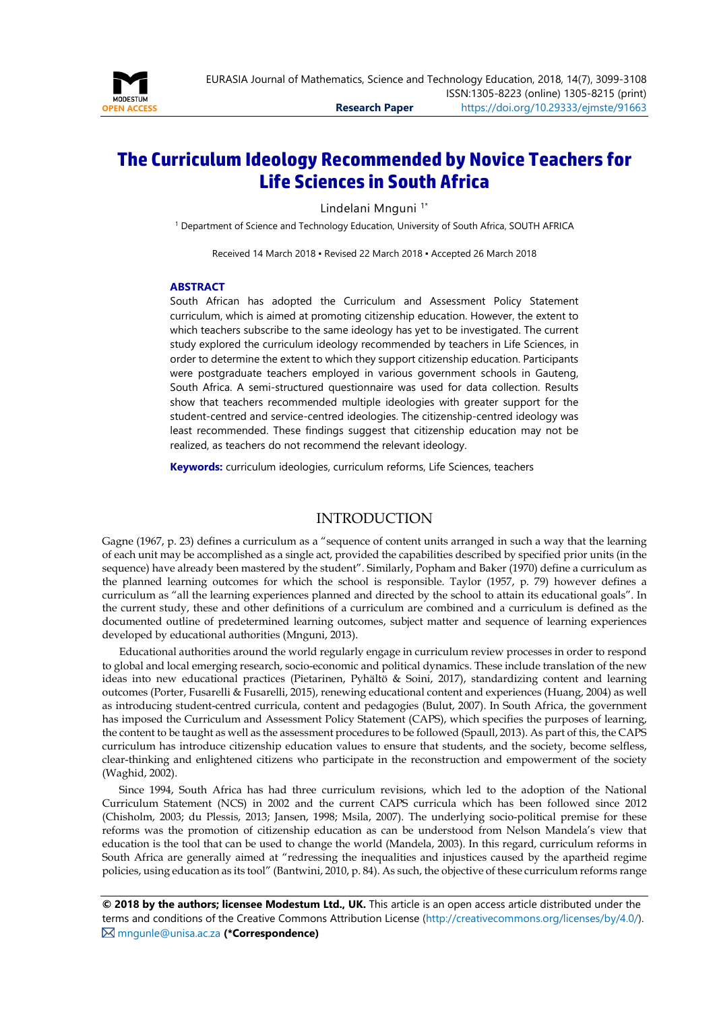

# **The Curriculum Ideology Recommended by Novice Teachers for Life Sciences in South Africa**

Lindelani Mnguni 1\*

<sup>1</sup> Department of Science and Technology Education, University of South Africa, SOUTH AFRICA

Received 14 March 2018 ▪ Revised 22 March 2018 ▪ Accepted 26 March 2018

#### <span id="page-0-0"></span>**ABSTRACT**

South African has adopted the Curriculum and Assessment Policy Statement curriculum, which is aimed at promoting citizenship education. However, the extent to which teachers subscribe to the same ideology has yet to be investigated. The current study explored the curriculum ideology recommended by teachers in Life Sciences, in order to determine the extent to which they support citizenship education. Participants were postgraduate teachers employed in various government schools in Gauteng, South Africa. A semi-structured questionnaire was used for data collection. Results show that teachers recommended multiple ideologies with greater support for the student-centred and service-centred ideologies. The citizenship-centred ideology was least recommended. These findings suggest that citizenship education may not be realized, as teachers do not recommend the relevant ideology.

**Keywords:** curriculum ideologies, curriculum reforms, Life Sciences, teachers

### INTRODUCTION

Gagne (1967, p. 23) defines a curriculum as a "sequence of content units arranged in such a way that the learning of each unit may be accomplished as a single act, provided the capabilities described by specified prior units (in the sequence) have already been mastered by the student". Similarly, Popham and Baker (1970) define a curriculum as the planned learning outcomes for which the school is responsible. Taylor (1957, p. 79) however defines a curriculum as "all the learning experiences planned and directed by the school to attain its educational goals". In the current study, these and other definitions of a curriculum are combined and a curriculum is defined as the documented outline of predetermined learning outcomes, subject matter and sequence of learning experiences developed by educational authorities (Mnguni, 2013).

Educational authorities around the world regularly engage in curriculum review processes in order to respond to global and local emerging research, socio-economic and political dynamics. These include translation of the new ideas into new educational practices (Pietarinen, Pyhältö & Soini, 2017), standardizing content and learning outcomes (Porter, Fusarelli & Fusarelli, 2015), renewing educational content and experiences (Huang, 2004) as well as introducing student-centred curricula, content and pedagogies (Bulut, 2007). In South Africa, the government has imposed the Curriculum and Assessment Policy Statement (CAPS), which specifies the purposes of learning, the content to be taught as well as the assessment procedures to be followed (Spaull, 2013). As part of this, the CAPS curriculum has introduce citizenship education values to ensure that students, and the society, become selfless, clear-thinking and enlightened citizens who participate in the reconstruction and empowerment of the society (Waghid, 2002).

Since 1994, South Africa has had three curriculum revisions, which led to the adoption of the National Curriculum Statement (NCS) in 2002 and the current CAPS curricula which has been followed since 2012 (Chisholm, 2003; du Plessis, 2013; Jansen, 1998; Msila, 2007). The underlying socio-political premise for these reforms was the promotion of citizenship education as can be understood from Nelson Mandela's view that education is the tool that can be used to change the world (Mandela, 2003). In this regard, curriculum reforms in South Africa are generally aimed at "redressing the inequalities and injustices caused by the apartheid regime policies, using education as its tool" (Bantwini, 2010, p. 84). As such, the objective of these curriculum reforms range

**© 2018 by the authors; licensee Modestum Ltd., UK.** This article is an open access article distributed under the terms and conditions of the Creative Commons Attribution License [\(http://creativecommons.org/licenses/by/4.0/\)](http://creativecommons.org/licenses/by/4.0/). [mngunle@unisa.ac.za](mailto:mngunle@unisa.ac.za) **(\*Correspondence)**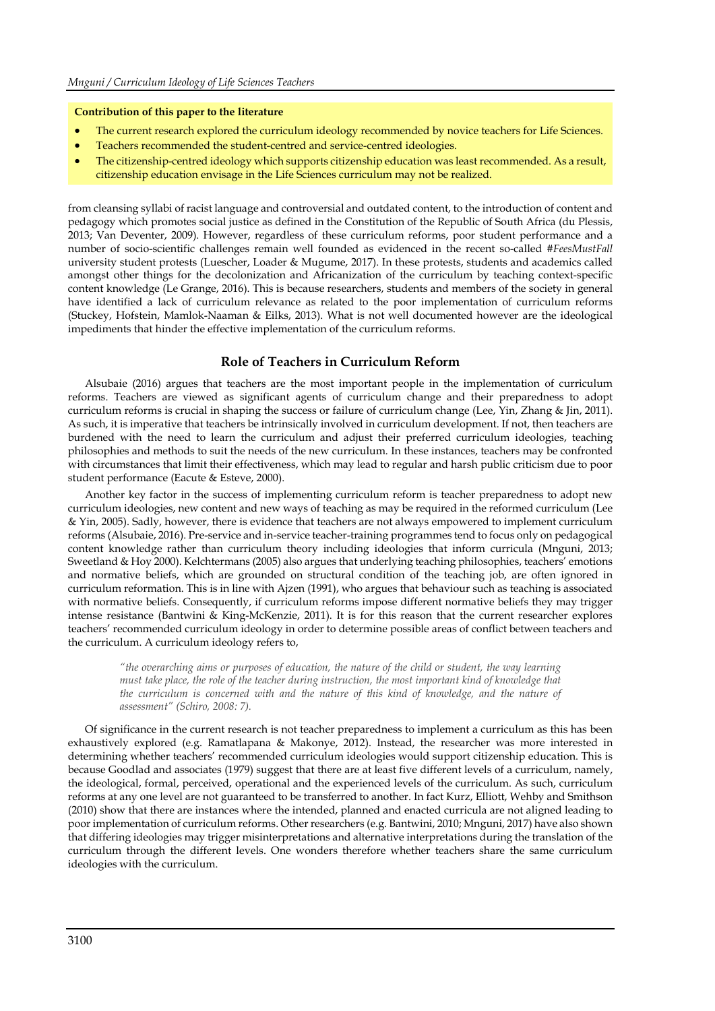#### **Contribution of this paper to the literature**

- The current research explored the curriculum ideology recommended by novice teachers for Life Sciences.
- Teachers recommended the student-centred and service-centred ideologies.
- The citizenship-centred ideology which supports citizenship education was least recommended. As a result, citizenship education envisage in the Life Sciences curriculum may not be realized.

from cleansing syllabi of racist language and controversial and outdated content, to the introduction of content and pedagogy which promotes social justice as defined in the Constitution of the Republic of South Africa (du Plessis, 2013; Van Deventer, 2009). However, regardless of these curriculum reforms, poor student performance and a number of socio-scientific challenges remain well founded as evidenced in the recent so-called *#FeesMustFall*  university student protests (Luescher, Loader & Mugume, 2017). In these protests, students and academics called amongst other things for the decolonization and Africanization of the curriculum by teaching context-specific content knowledge (Le Grange, 2016). This is because researchers, students and members of the society in general have identified a lack of curriculum relevance as related to the poor implementation of curriculum reforms (Stuckey, Hofstein, Mamlok-Naaman & Eilks, 2013). What is not well documented however are the ideological impediments that hinder the effective implementation of the curriculum reforms.

### **Role of Teachers in Curriculum Reform**

Alsubaie (2016) argues that teachers are the most important people in the implementation of curriculum reforms. Teachers are viewed as significant agents of curriculum change and their preparedness to adopt curriculum reforms is crucial in shaping the success or failure of curriculum change (Lee, Yin, Zhang & Jin, 2011). As such, it is imperative that teachers be intrinsically involved in curriculum development. If not, then teachers are burdened with the need to learn the curriculum and adjust their preferred curriculum ideologies, teaching philosophies and methods to suit the needs of the new curriculum. In these instances, teachers may be confronted with circumstances that limit their effectiveness, which may lead to regular and harsh public criticism due to poor student performance (Eacute & Esteve, 2000).

Another key factor in the success of implementing curriculum reform is teacher preparedness to adopt new curriculum ideologies, new content and new ways of teaching as may be required in the reformed curriculum (Lee & Yin, 2005). Sadly, however, there is evidence that teachers are not always empowered to implement curriculum reforms (Alsubaie, 2016). Pre-service and in-service teacher-training programmes tend to focus only on pedagogical content knowledge rather than curriculum theory including ideologies that inform curricula (Mnguni, 2013; Sweetland & Hoy 2000). Kelchtermans (2005) also argues that underlying teaching philosophies, teachers' emotions and normative beliefs, which are grounded on structural condition of the teaching job, are often ignored in curriculum reformation. This is in line with Ajzen (1991), who argues that behaviour such as teaching is associated with normative beliefs. Consequently, if curriculum reforms impose different normative beliefs they may trigger intense resistance (Bantwini & King-McKenzie, 2011). It is for this reason that the current researcher explores teachers' recommended curriculum ideology in order to determine possible areas of conflict between teachers and the curriculum. A curriculum ideology refers to,

*"the overarching aims or purposes of education, the nature of the child or student, the way learning must take place, the role of the teacher during instruction, the most important kind of knowledge that the curriculum is concerned with and the nature of this kind of knowledge, and the nature of assessment" (Schiro, 2008: 7).*

Of significance in the current research is not teacher preparedness to implement a curriculum as this has been exhaustively explored (e.g. Ramatlapana & Makonye, 2012). Instead, the researcher was more interested in determining whether teachers' recommended curriculum ideologies would support citizenship education. This is because Goodlad and associates (1979) suggest that there are at least five different levels of a curriculum, namely, the ideological, formal, perceived, operational and the experienced levels of the curriculum. As such, curriculum reforms at any one level are not guaranteed to be transferred to another. In fact Kurz, Elliott, Wehby and Smithson (2010) show that there are instances where the intended, planned and enacted curricula are not aligned leading to poor implementation of curriculum reforms. Other researchers (e.g. Bantwini, 2010; Mnguni, 2017) have also shown that differing ideologies may trigger misinterpretations and alternative interpretations during the translation of the curriculum through the different levels. One wonders therefore whether teachers share the same curriculum ideologies with the curriculum.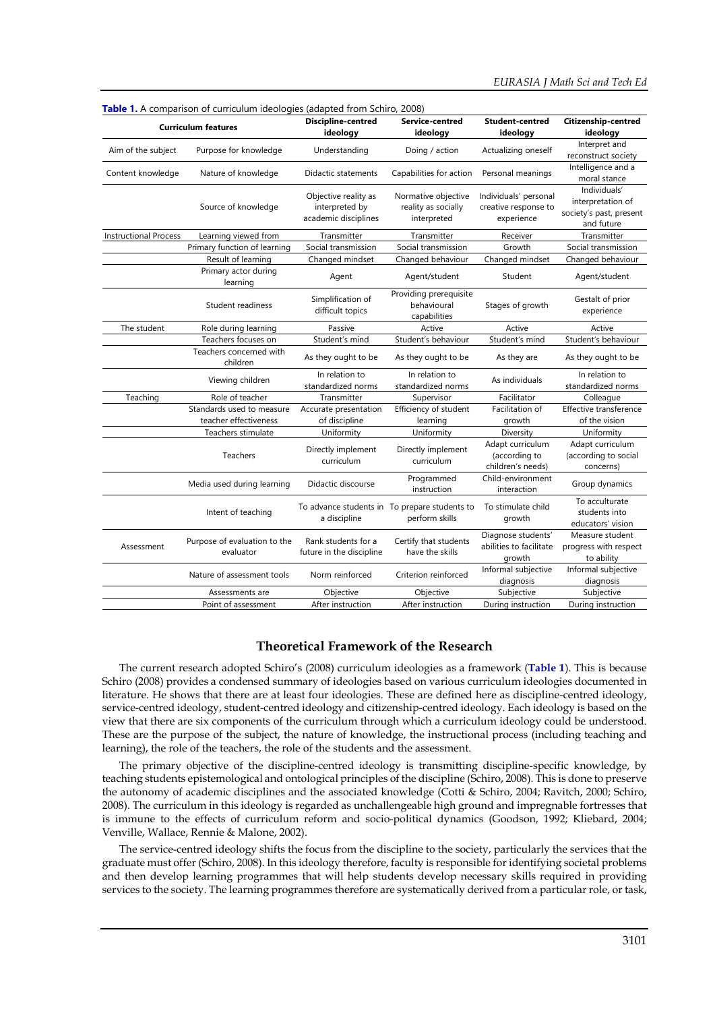| Table 1. A comparison of curriculum ideologies (adapted from Schiro, 2008) |                                                    |                                                                |                                                                 |                                                             |                                                                            |
|----------------------------------------------------------------------------|----------------------------------------------------|----------------------------------------------------------------|-----------------------------------------------------------------|-------------------------------------------------------------|----------------------------------------------------------------------------|
| <b>Curriculum features</b>                                                 |                                                    | <b>Discipline-centred</b><br>ideology                          | Service-centred<br>ideology                                     | <b>Student-centred</b><br>ideology                          | <b>Citizenship-centred</b><br>ideology                                     |
| Aim of the subject                                                         | Purpose for knowledge                              | Understanding                                                  | Doing / action                                                  | Actualizing oneself                                         | Interpret and<br>reconstruct society                                       |
| Content knowledge                                                          | Nature of knowledge                                | Didactic statements                                            | Capabilities for action                                         | Personal meanings                                           | Intelligence and a<br>moral stance                                         |
|                                                                            | Source of knowledge                                | Objective reality as<br>interpreted by<br>academic disciplines | Normative objective<br>reality as socially<br>interpreted       | Individuals' personal<br>creative response to<br>experience | Individuals'<br>interpretation of<br>society's past, present<br>and future |
| <b>Instructional Process</b>                                               | Learning viewed from                               | Transmitter                                                    | Transmitter                                                     | Receiver                                                    | Transmitter                                                                |
|                                                                            | Primary function of learning                       | Social transmission                                            | Social transmission                                             | Growth                                                      | Social transmission                                                        |
|                                                                            | Result of learning                                 | Changed mindset                                                | Changed behaviour                                               | Changed mindset                                             | Changed behaviour                                                          |
|                                                                            | Primary actor during<br>learning                   | Agent                                                          | Agent/student                                                   | Student                                                     | Agent/student                                                              |
|                                                                            | Student readiness                                  | Simplification of<br>difficult topics                          | Providing prerequisite<br>behavioural<br>capabilities           | Stages of growth                                            | Gestalt of prior<br>experience                                             |
| The student                                                                | Role during learning                               | Passive                                                        | Active                                                          | Active                                                      | Active                                                                     |
|                                                                            | Teachers focuses on                                | Student's mind                                                 | Student's behaviour                                             | Student's mind                                              | Student's behaviour                                                        |
|                                                                            | Teachers concerned with<br>children                | As they ought to be                                            | As they ought to be                                             | As they are                                                 | As they ought to be                                                        |
|                                                                            | Viewing children                                   | In relation to<br>standardized norms                           | In relation to<br>standardized norms                            | As individuals                                              | In relation to<br>standardized norms                                       |
| Teaching                                                                   | Role of teacher                                    | Transmitter                                                    | Supervisor                                                      | Facilitator                                                 | Colleague                                                                  |
|                                                                            | Standards used to measure<br>teacher effectiveness | Accurate presentation<br>of discipline                         | Efficiency of student<br>learning                               | Facilitation of<br>growth                                   | Effective transference<br>of the vision                                    |
|                                                                            | Teachers stimulate                                 | Uniformity                                                     | Uniformity                                                      | Diversity                                                   | Uniformity                                                                 |
|                                                                            | Teachers                                           | Directly implement<br>curriculum                               | Directly implement<br>curriculum                                | Adapt curriculum<br>(according to<br>children's needs)      | Adapt curriculum<br>(according to social<br>concerns)                      |
|                                                                            | Media used during learning                         | Didactic discourse                                             | Programmed<br>instruction                                       | Child-environment<br>interaction                            | Group dynamics                                                             |
|                                                                            | Intent of teaching                                 | a discipline                                                   | To advance students in To prepare students to<br>perform skills | To stimulate child<br>growth                                | To acculturate<br>students into<br>educators' vision                       |
| Assessment                                                                 | Purpose of evaluation to the<br>evaluator          | Rank students for a<br>future in the discipline                | Certify that students<br>have the skills                        | Diagnose students'<br>abilities to facilitate<br>growth     | Measure student<br>progress with respect<br>to ability                     |
|                                                                            | Nature of assessment tools                         | Norm reinforced                                                | Criterion reinforced                                            | Informal subjective<br>diagnosis                            | Informal subjective<br>diagnosis                                           |
|                                                                            | Assessments are                                    | Objective                                                      | Objective                                                       | Subjective                                                  | Subjective                                                                 |
|                                                                            | Point of assessment                                | After instruction                                              | After instruction                                               | During instruction                                          | During instruction                                                         |

### **Theoretical Framework of the Research**

The current research adopted Schiro's (2008) curriculum ideologies as a framework (**Table 1**). This is because Schiro (2008) provides a condensed summary of ideologies based on various curriculum ideologies documented in literature. He shows that there are at least four ideologies. These are defined here as discipline-centred ideology, service-centred ideology, student-centred ideology and citizenship-centred ideology. Each ideology is based on the view that there are six components of the curriculum through which a curriculum ideology could be understood. These are the purpose of the subject, the nature of knowledge, the instructional process (including teaching and learning), the role of the teachers, the role of the students and the assessment.

The primary objective of the discipline-centred ideology is transmitting discipline-specific knowledge, by teaching students epistemological and ontological principles of the discipline (Schiro, 2008). This is done to preserve the autonomy of academic disciplines and the associated knowledge (Cotti & Schiro, 2004; Ravitch, 2000; Schiro, 2008). The curriculum in this ideology is regarded as unchallengeable high ground and impregnable fortresses that is immune to the effects of curriculum reform and socio-political dynamics (Goodson, 1992; Kliebard, 2004; Venville, Wallace, Rennie & Malone, 2002).

The service-centred ideology shifts the focus from the discipline to the society, particularly the services that the graduate must offer (Schiro, 2008). In this ideology therefore, faculty is responsible for identifying societal problems and then develop learning programmes that will help students develop necessary skills required in providing services to the society. The learning programmes therefore are systematically derived from a particular role, or task,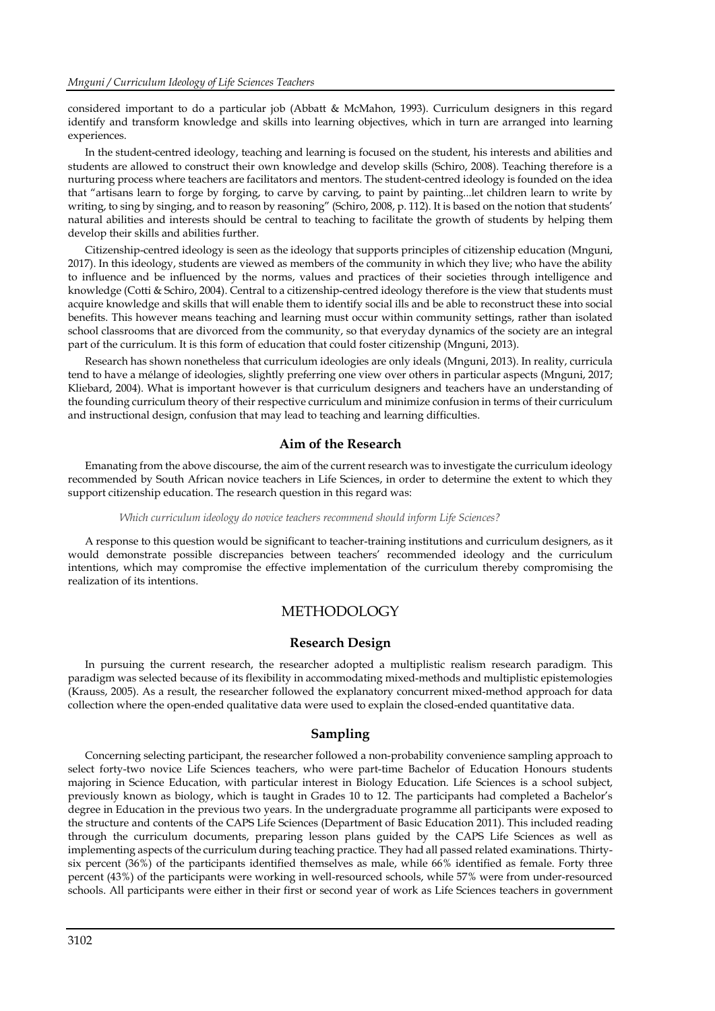considered important to do a particular job (Abbatt & McMahon, 1993). Curriculum designers in this regard identify and transform knowledge and skills into learning objectives, which in turn are arranged into learning experiences.

In the student-centred ideology, teaching and learning is focused on the student, his interests and abilities and students are allowed to construct their own knowledge and develop skills (Schiro, 2008). Teaching therefore is a nurturing process where teachers are facilitators and mentors. The student-centred ideology is founded on the idea that "artisans learn to forge by forging, to carve by carving, to paint by painting...let children learn to write by writing, to sing by singing, and to reason by reasoning" (Schiro, 2008, p. 112). It is based on the notion that students' natural abilities and interests should be central to teaching to facilitate the growth of students by helping them develop their skills and abilities further.

Citizenship-centred ideology is seen as the ideology that supports principles of citizenship education (Mnguni, 2017). In this ideology, students are viewed as members of the community in which they live; who have the ability to influence and be influenced by the norms, values and practices of their societies through intelligence and knowledge (Cotti & Schiro, 2004). Central to a citizenship-centred ideology therefore is the view that students must acquire knowledge and skills that will enable them to identify social ills and be able to reconstruct these into social benefits. This however means teaching and learning must occur within community settings, rather than isolated school classrooms that are divorced from the community, so that everyday dynamics of the society are an integral part of the curriculum. It is this form of education that could foster citizenship (Mnguni, 2013).

Research has shown nonetheless that curriculum ideologies are only ideals (Mnguni, 2013). In reality, curricula tend to have a mélange of ideologies, slightly preferring one view over others in particular aspects (Mnguni, 2017; Kliebard, 2004). What is important however is that curriculum designers and teachers have an understanding of the founding curriculum theory of their respective curriculum and minimize confusion in terms of their curriculum and instructional design, confusion that may lead to teaching and learning difficulties.

### **Aim of the Research**

Emanating from the above discourse, the aim of the current research was to investigate the curriculum ideology recommended by South African novice teachers in Life Sciences, in order to determine the extent to which they support citizenship education. The research question in this regard was:

#### *Which curriculum ideology do novice teachers recommend should inform Life Sciences?*

A response to this question would be significant to teacher-training institutions and curriculum designers, as it would demonstrate possible discrepancies between teachers' recommended ideology and the curriculum intentions, which may compromise the effective implementation of the curriculum thereby compromising the realization of its intentions.

### METHODOLOGY

#### **Research Design**

In pursuing the current research, the researcher adopted a multiplistic realism research paradigm. This paradigm was selected because of its flexibility in accommodating mixed-methods and multiplistic epistemologies (Krauss, 2005). As a result, the researcher followed the explanatory concurrent mixed-method approach for data collection where the open-ended qualitative data were used to explain the closed-ended quantitative data.

#### **Sampling**

Concerning selecting participant, the researcher followed a non-probability convenience sampling approach to select forty-two novice Life Sciences teachers, who were part-time Bachelor of Education Honours students majoring in Science Education, with particular interest in Biology Education. Life Sciences is a school subject, previously known as biology, which is taught in Grades 10 to 12. The participants had completed a Bachelor's degree in Education in the previous two years. In the undergraduate programme all participants were exposed to the structure and contents of the CAPS Life Sciences (Department of Basic Education 2011). This included reading through the curriculum documents, preparing lesson plans guided by the CAPS Life Sciences as well as implementing aspects of the curriculum during teaching practice. They had all passed related examinations. Thirtysix percent (36%) of the participants identified themselves as male, while 66% identified as female. Forty three percent (43%) of the participants were working in well-resourced schools, while 57% were from under-resourced schools. All participants were either in their first or second year of work as Life Sciences teachers in government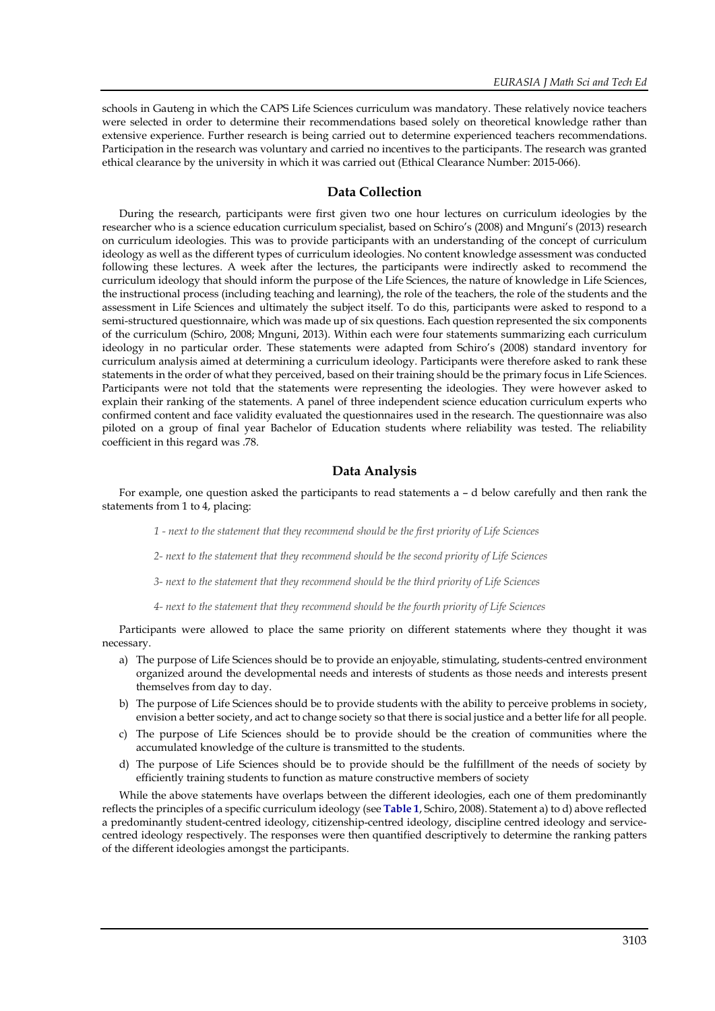schools in Gauteng in which the CAPS Life Sciences curriculum was mandatory. These relatively novice teachers were selected in order to determine their recommendations based solely on theoretical knowledge rather than extensive experience. Further research is being carried out to determine experienced teachers recommendations. Participation in the research was voluntary and carried no incentives to the participants. The research was granted ethical clearance by the university in which it was carried out (Ethical Clearance Number: 2015-066).

### **Data Collection**

During the research, participants were first given two one hour lectures on curriculum ideologies by the researcher who is a science education curriculum specialist, based on Schiro's (2008) and Mnguni's (2013) research on curriculum ideologies. This was to provide participants with an understanding of the concept of curriculum ideology as well as the different types of curriculum ideologies. No content knowledge assessment was conducted following these lectures. A week after the lectures, the participants were indirectly asked to recommend the curriculum ideology that should inform the purpose of the Life Sciences, the nature of knowledge in Life Sciences, the instructional process (including teaching and learning), the role of the teachers, the role of the students and the assessment in Life Sciences and ultimately the subject itself. To do this, participants were asked to respond to a semi-structured questionnaire, which was made up of six questions. Each question represented the six components of the curriculum (Schiro, 2008; Mnguni, 2013). Within each were four statements summarizing each curriculum ideology in no particular order. These statements were adapted from Schiro's (2008) standard inventory for curriculum analysis aimed at determining a curriculum ideology. Participants were therefore asked to rank these statements in the order of what they perceived, based on their training should be the primary focus in Life Sciences. Participants were not told that the statements were representing the ideologies. They were however asked to explain their ranking of the statements. A panel of three independent science education curriculum experts who confirmed content and face validity evaluated the questionnaires used in the research. The questionnaire was also piloted on a group of final year Bachelor of Education students where reliability was tested. The reliability coefficient in this regard was .78.

### **Data Analysis**

For example, one question asked the participants to read statements a – d below carefully and then rank the statements from 1 to 4, placing:

*1 - next to the statement that they recommend should be the first priority of Life Sciences* 

*2- next to the statement that they recommend should be the second priority of Life Sciences* 

*3- next to the statement that they recommend should be the third priority of Life Sciences* 

*4- next to the statement that they recommend should be the fourth priority of Life Sciences* 

Participants were allowed to place the same priority on different statements where they thought it was necessary.

- a) The purpose of Life Sciences should be to provide an enjoyable, stimulating, students-centred environment organized around the developmental needs and interests of students as those needs and interests present themselves from day to day.
- b) The purpose of Life Sciences should be to provide students with the ability to perceive problems in society, envision a better society, and act to change society so that there is social justice and a better life for all people.
- c) The purpose of Life Sciences should be to provide should be the creation of communities where the accumulated knowledge of the culture is transmitted to the students.
- d) The purpose of Life Sciences should be to provide should be the fulfillment of the needs of society by efficiently training students to function as mature constructive members of society

While the above statements have overlaps between the different ideologies, each one of them predominantly reflects the principles of a specific curriculum ideology (see **Table 1**, Schiro, 2008). Statement a) to d) above reflected a predominantly student-centred ideology, citizenship-centred ideology, discipline centred ideology and servicecentred ideology respectively. The responses were then quantified descriptively to determine the ranking patters of the different ideologies amongst the participants.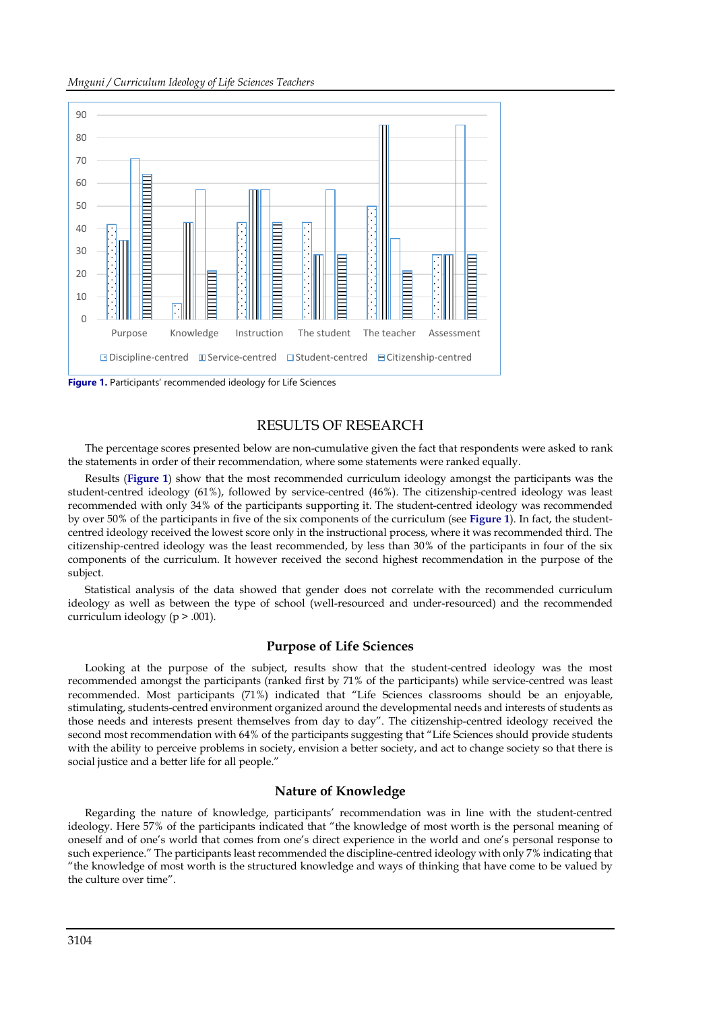

**Figure 1.** Participants' recommended ideology for Life Sciences

### RESULTS OF RESEARCH

The percentage scores presented below are non-cumulative given the fact that respondents were asked to rank the statements in order of their recommendation, where some statements were ranked equally.

Results (**Figure 1**) show that the most recommended curriculum ideology amongst the participants was the student-centred ideology (61%), followed by service-centred (46%). The citizenship-centred ideology was least recommended with only 34% of the participants supporting it. The student-centred ideology was recommended by over 50% of the participants in five of the six components of the curriculum (see **Figure 1**). In fact, the studentcentred ideology received the lowest score only in the instructional process, where it was recommended third. The citizenship-centred ideology was the least recommended, by less than 30% of the participants in four of the six components of the curriculum. It however received the second highest recommendation in the purpose of the subject.

Statistical analysis of the data showed that gender does not correlate with the recommended curriculum ideology as well as between the type of school (well-resourced and under-resourced) and the recommended curriculum ideology ( $p > .001$ ).

### **Purpose of Life Sciences**

Looking at the purpose of the subject, results show that the student-centred ideology was the most recommended amongst the participants (ranked first by 71% of the participants) while service-centred was least recommended. Most participants (71%) indicated that "Life Sciences classrooms should be an enjoyable, stimulating, students-centred environment organized around the developmental needs and interests of students as those needs and interests present themselves from day to day". The citizenship-centred ideology received the second most recommendation with 64% of the participants suggesting that "Life Sciences should provide students with the ability to perceive problems in society, envision a better society, and act to change society so that there is social justice and a better life for all people."

### **Nature of Knowledge**

Regarding the nature of knowledge, participants' recommendation was in line with the student-centred ideology. Here 57% of the participants indicated that "the knowledge of most worth is the personal meaning of oneself and of one's world that comes from one's direct experience in the world and one's personal response to such experience." The participants least recommended the discipline-centred ideology with only 7% indicating that "the knowledge of most worth is the structured knowledge and ways of thinking that have come to be valued by the culture over time".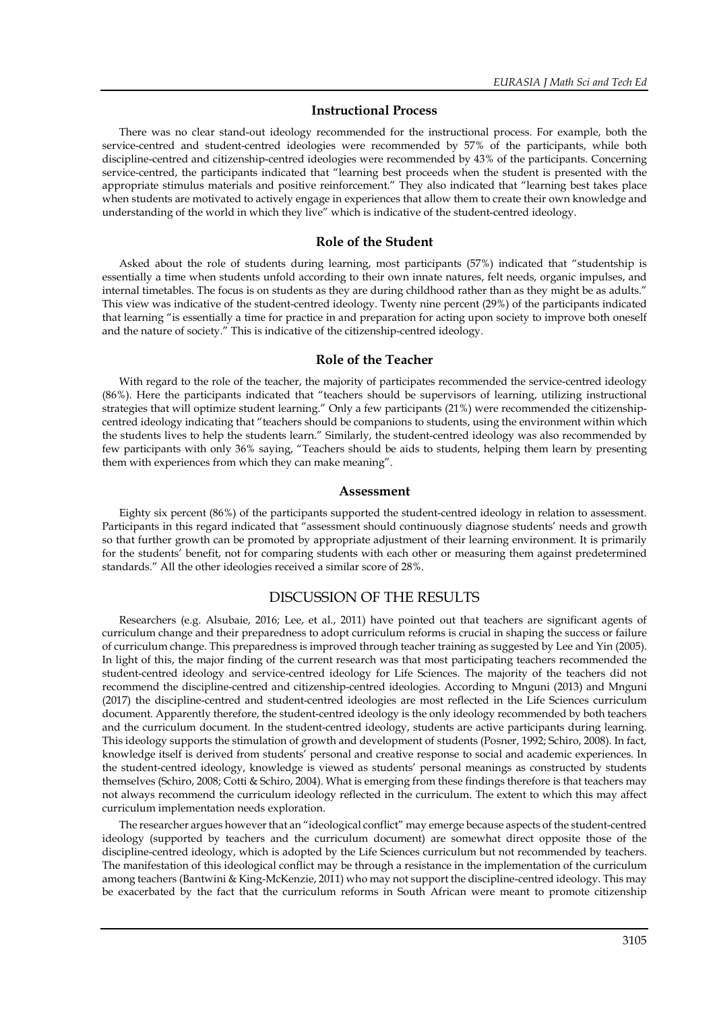### **Instructional Process**

There was no clear stand-out ideology recommended for the instructional process. For example, both the service-centred and student-centred ideologies were recommended by 57% of the participants, while both discipline-centred and citizenship-centred ideologies were recommended by 43% of the participants. Concerning service-centred, the participants indicated that "learning best proceeds when the student is presented with the appropriate stimulus materials and positive reinforcement." They also indicated that "learning best takes place when students are motivated to actively engage in experiences that allow them to create their own knowledge and understanding of the world in which they live" which is indicative of the student-centred ideology.

#### **Role of the Student**

Asked about the role of students during learning, most participants (57%) indicated that "studentship is essentially a time when students unfold according to their own innate natures, felt needs, organic impulses, and internal timetables. The focus is on students as they are during childhood rather than as they might be as adults." This view was indicative of the student-centred ideology. Twenty nine percent (29%) of the participants indicated that learning "is essentially a time for practice in and preparation for acting upon society to improve both oneself and the nature of society." This is indicative of the citizenship-centred ideology.

### **Role of the Teacher**

With regard to the role of the teacher, the majority of participates recommended the service-centred ideology (86%). Here the participants indicated that "teachers should be supervisors of learning, utilizing instructional strategies that will optimize student learning." Only a few participants (21%) were recommended the citizenshipcentred ideology indicating that "teachers should be companions to students, using the environment within which the students lives to help the students learn." Similarly, the student-centred ideology was also recommended by few participants with only 36% saying, "Teachers should be aids to students, helping them learn by presenting them with experiences from which they can make meaning".

### **Assessment**

Eighty six percent (86%) of the participants supported the student-centred ideology in relation to assessment. Participants in this regard indicated that "assessment should continuously diagnose students' needs and growth so that further growth can be promoted by appropriate adjustment of their learning environment. It is primarily for the students' benefit, not for comparing students with each other or measuring them against predetermined standards." All the other ideologies received a similar score of 28%.

### DISCUSSION OF THE RESULTS

Researchers (e.g. Alsubaie, 2016; Lee, et al., 2011) have pointed out that teachers are significant agents of curriculum change and their preparedness to adopt curriculum reforms is crucial in shaping the success or failure of curriculum change. This preparedness is improved through teacher training as suggested by Lee and Yin (2005). In light of this, the major finding of the current research was that most participating teachers recommended the student-centred ideology and service-centred ideology for Life Sciences. The majority of the teachers did not recommend the discipline-centred and citizenship-centred ideologies. According to Mnguni (2013) and Mnguni (2017) the discipline-centred and student-centred ideologies are most reflected in the Life Sciences curriculum document. Apparently therefore, the student-centred ideology is the only ideology recommended by both teachers and the curriculum document. In the student-centred ideology, students are active participants during learning. This ideology supports the stimulation of growth and development of students (Posner, 1992; Schiro, 2008). In fact, knowledge itself is derived from students' personal and creative response to social and academic experiences. In the student-centred ideology, knowledge is viewed as students' personal meanings as constructed by students themselves (Schiro, 2008; Cotti & Schiro, 2004). What is emerging from these findings therefore is that teachers may not always recommend the curriculum ideology reflected in the curriculum. The extent to which this may affect curriculum implementation needs exploration.

The researcher argues however that an "ideological conflict" may emerge because aspects of the student-centred ideology (supported by teachers and the curriculum document) are somewhat direct opposite those of the discipline-centred ideology, which is adopted by the Life Sciences curriculum but not recommended by teachers. The manifestation of this ideological conflict may be through a resistance in the implementation of the curriculum among teachers (Bantwini & King-McKenzie, 2011) who may not support the discipline-centred ideology. This may be exacerbated by the fact that the curriculum reforms in South African were meant to promote citizenship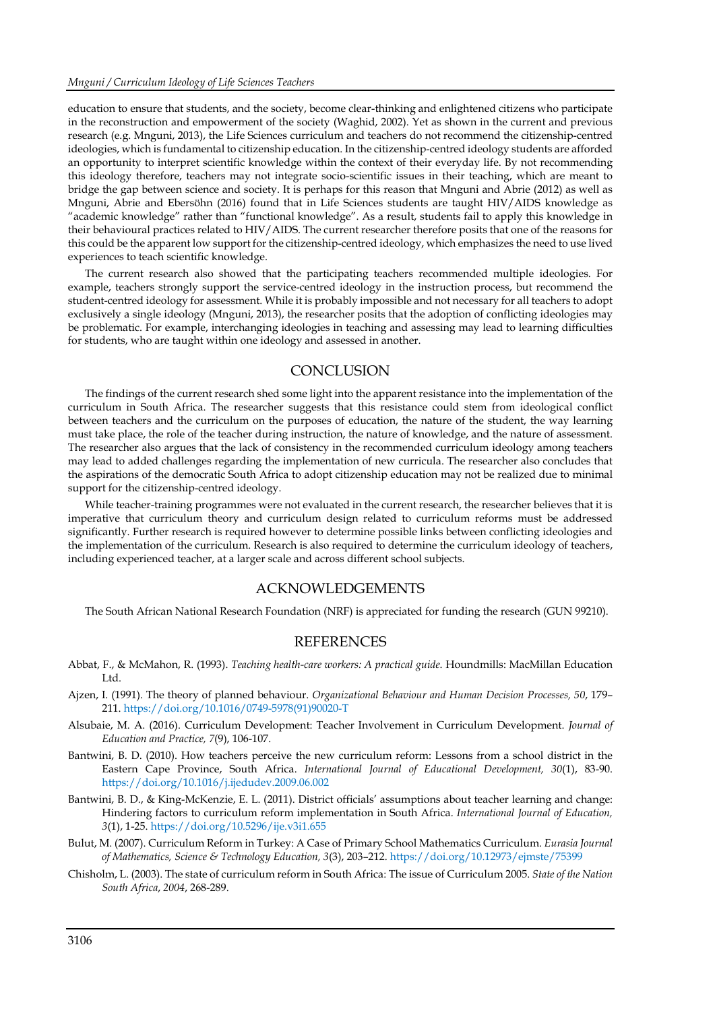education to ensure that students, and the society, become clear-thinking and enlightened citizens who participate in the reconstruction and empowerment of the society (Waghid, 2002). Yet as shown in the current and previous research (e.g. Mnguni, 2013), the Life Sciences curriculum and teachers do not recommend the citizenship-centred ideologies, which is fundamental to citizenship education. In the citizenship-centred ideology students are afforded an opportunity to interpret scientific knowledge within the context of their everyday life. By not recommending this ideology therefore, teachers may not integrate socio-scientific issues in their teaching, which are meant to bridge the gap between science and society. It is perhaps for this reason that Mnguni and Abrie (2012) as well as Mnguni, Abrie and Ebersöhn (2016) found that in Life Sciences students are taught HIV/AIDS knowledge as "academic knowledge" rather than "functional knowledge". As a result, students fail to apply this knowledge in their behavioural practices related to HIV/AIDS. The current researcher therefore posits that one of the reasons for this could be the apparent low support for the citizenship-centred ideology, which emphasizes the need to use lived experiences to teach scientific knowledge.

The current research also showed that the participating teachers recommended multiple ideologies. For example, teachers strongly support the service-centred ideology in the instruction process, but recommend the student-centred ideology for assessment. While it is probably impossible and not necessary for all teachers to adopt exclusively a single ideology (Mnguni, 2013), the researcher posits that the adoption of conflicting ideologies may be problematic. For example, interchanging ideologies in teaching and assessing may lead to learning difficulties for students, who are taught within one ideology and assessed in another.

### **CONCLUSION**

The findings of the current research shed some light into the apparent resistance into the implementation of the curriculum in South Africa. The researcher suggests that this resistance could stem from ideological conflict between teachers and the curriculum on the purposes of education, the nature of the student, the way learning must take place, the role of the teacher during instruction, the nature of knowledge, and the nature of assessment. The researcher also argues that the lack of consistency in the recommended curriculum ideology among teachers may lead to added challenges regarding the implementation of new curricula. The researcher also concludes that the aspirations of the democratic South Africa to adopt citizenship education may not be realized due to minimal support for the citizenship-centred ideology.

While teacher-training programmes were not evaluated in the current research, the researcher believes that it is imperative that curriculum theory and curriculum design related to curriculum reforms must be addressed significantly. Further research is required however to determine possible links between conflicting ideologies and the implementation of the curriculum. Research is also required to determine the curriculum ideology of teachers, including experienced teacher, at a larger scale and across different school subjects.

### ACKNOWLEDGEMENTS

The South African National Research Foundation (NRF) is appreciated for funding the research (GUN 99210).

#### **REFERENCES**

- Abbat, F., & McMahon, R. (1993). *Teaching health-care workers: A practical guide*. Houndmills: MacMillan Education Ltd.
- Ajzen, I. (1991). The theory of planned behaviour. *Organizational Behaviour and Human Decision Processes, 50*, 179– 211. [https://doi.org/10.1016/0749-5978\(91\)90020-T](https://doi.org/10.1016/0749-5978(91)90020-T)
- Alsubaie, M. A. (2016). Curriculum Development: Teacher Involvement in Curriculum Development. *Journal of Education and Practice, 7*(9), 106-107.
- Bantwini, B. D. (2010). How teachers perceive the new curriculum reform: Lessons from a school district in the Eastern Cape Province, South Africa. *International Journal of Educational Development, 30*(1), 83-90. <https://doi.org/10.1016/j.ijedudev.2009.06.002>
- Bantwini, B. D., & King-McKenzie, E. L. (2011). District officials' assumptions about teacher learning and change: Hindering factors to curriculum reform implementation in South Africa. *International Journal of Education, 3*(1), 1-25. <https://doi.org/10.5296/ije.v3i1.655>
- Bulut, M. (2007). Curriculum Reform in Turkey: A Case of Primary School Mathematics Curriculum. *Eurasia Journal of Mathematics, Science & Technology Education, 3*(3), 203–212. <https://doi.org/10.12973/ejmste/75399>
- Chisholm, L. (2003). The state of curriculum reform in South Africa: The issue of Curriculum 2005. *State of the Nation South Africa*, *2004*, 268-289.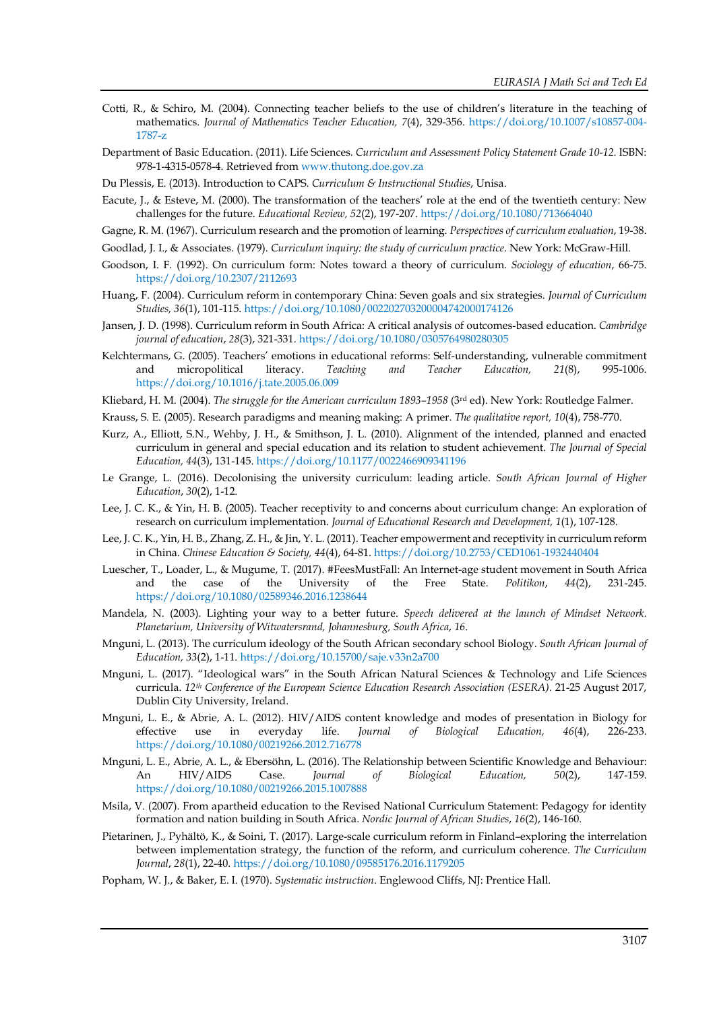- Cotti, R., & Schiro, M. (2004). Connecting teacher beliefs to the use of children's literature in the teaching of mathematics. *Journal of Mathematics Teacher Education, 7*(4), 329-356. [https://doi.org/10.1007/s10857-004-](https://doi.org/10.1007/s10857-004-1787-z) [1787-z](https://doi.org/10.1007/s10857-004-1787-z)
- Department of Basic Education. (2011). Life Sciences. Curriculum and Assessment Policy Statement Grade 10-12. ISBN: 978-1-4315-0578-4. Retrieved from [www.thutong.doe.gov.za](http://www.thutong.doe.gov.za/)
- Du Plessis, E. (2013). Introduction to CAPS. *Curriculum & Instructional Studies*, Unisa.
- Eacute, J., & Esteve, M. (2000). The transformation of the teachers' role at the end of the twentieth century: New challenges for the future. *Educational Review, 52*(2), 197-207. <https://doi.org/10.1080/713664040>
- Gagne, R. M. (1967). Curriculum research and the promotion of learning. *Perspectives of curriculum evaluation*, 19-38.
- Goodlad, J. I., & Associates. (1979). *Curriculum inquiry: the study of curriculum practice*. New York: McGraw-Hill.
- Goodson, I. F. (1992). On curriculum form: Notes toward a theory of curriculum. *Sociology of education*, 66-75. <https://doi.org/10.2307/2112693>
- Huang, F. (2004). Curriculum reform in contemporary China: Seven goals and six strategies. *Journal of Curriculum Studies, 36*(1), 101-115. <https://doi.org/10.1080/002202703200004742000174126>
- Jansen, J. D. (1998). Curriculum reform in South Africa: A critical analysis of outcomes‐based education. *Cambridge journal of education*, *28*(3), 321-331. <https://doi.org/10.1080/0305764980280305>
- Kelchtermans, G. (2005). Teachers' emotions in educational reforms: Self-understanding, vulnerable commitment and micropolitical literacy. *Teaching and Teacher Education, 21*(8), 995-1006. <https://doi.org/10.1016/j.tate.2005.06.009>
- Kliebard, H. M. (2004). *The struggle for the American curriculum 1893–1958* (3rd ed). New York: Routledge Falmer.
- Krauss, S. E. (2005). Research paradigms and meaning making: A primer. *The qualitative report, 10*(4), 758-770.
- Kurz, A., Elliott, S.N., Wehby, J. H., & Smithson, J. L. (2010). Alignment of the intended, planned and enacted curriculum in general and special education and its relation to student achievement. *The Journal of Special Education, 44*(3), 131-145. <https://doi.org/10.1177/0022466909341196>
- Le Grange, L. (2016). Decolonising the university curriculum: leading article. *South African Journal of Higher Education*, *30*(2), 1-12.
- Lee, J. C. K., & Yin, H. B. (2005). Teacher receptivity to and concerns about curriculum change: An exploration of research on curriculum implementation. *Journal of Educational Research and Development, 1*(1), 107-128.
- Lee, J. C. K., Yin, H. B., Zhang, Z. H., & Jin, Y. L. (2011). Teacher empowerment and receptivity in curriculum reform in China. *Chinese Education & Society, 44*(4), 64-81. <https://doi.org/10.2753/CED1061-1932440404>
- Luescher, T., Loader, L., & Mugume, T. (2017). #FeesMustFall: An Internet-age student movement in South Africa and the case of the University of the Free State. *Politikon*, *44*(2), 231-245. <https://doi.org/10.1080/02589346.2016.1238644>
- Mandela, N. (2003). Lighting your way to a better future. *Speech delivered at the launch of Mindset Network. Planetarium, University of Witwatersrand, Johannesburg, South Africa*, *16*.
- Mnguni, L. (2013). The curriculum ideology of the South African secondary school Biology. *South African Journal of Education, 33*(2), 1-11. <https://doi.org/10.15700/saje.v33n2a700>
- Mnguni, L. (2017). "Ideological wars" in the South African Natural Sciences & Technology and Life Sciences curricula. *12th Conference of the European Science Education Research Association (ESERA).* 21-25 August 2017, Dublin City University, Ireland.
- Mnguni, L. E., & Abrie, A. L. (2012). HIV/AIDS content knowledge and modes of presentation in Biology for effective use in everyday life. *Journal of Biological Education, 46*(4), 226-233. <https://doi.org/10.1080/00219266.2012.716778>
- Mnguni, L. E., Abrie, A. L., & Ebersöhn, L. (2016). The Relationship between Scientific Knowledge and Behaviour:<br>An HIV/AIDS Case. *Journal of Biological Education*, 50(2), 147-159. An HIV/AIDS Case. *Journal of Biological Education, 50*(2), 147-159. <https://doi.org/10.1080/00219266.2015.1007888>
- Msila, V. (2007). From apartheid education to the Revised National Curriculum Statement: Pedagogy for identity formation and nation building in South Africa. *Nordic Journal of African Studies*, *16*(2), 146-160.
- Pietarinen, J., Pyhältö, K., & Soini, T. (2017). Large-scale curriculum reform in Finland–exploring the interrelation between implementation strategy, the function of the reform, and curriculum coherence. *The Curriculum Journal*, *28*(1), 22-40. <https://doi.org/10.1080/09585176.2016.1179205>
- Popham, W. J., & Baker, E. I. (1970). *Systematic instruction*. Englewood Cliffs, NJ: Prentice Hall.